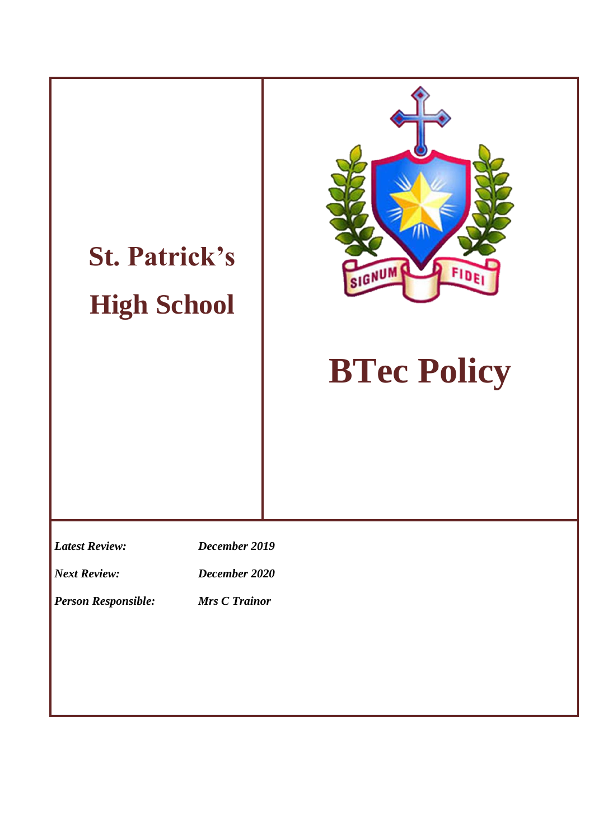# **St. Patrick's High School**



# **BTec Policy**

*Latest Review: December 2019*

*Next Review: December 2020*

*Person Responsible: Mrs C Trainor*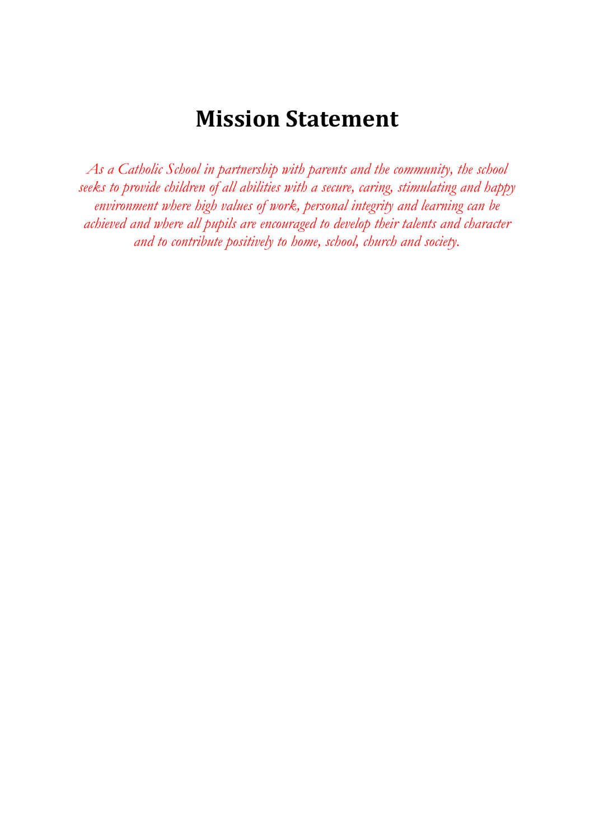### **Mission Statement**

*As a Catholic School in partnership with parents and the community, the school seeks to provide children of all abilities with a secure, caring, stimulating and happy environment where high values of work, personal integrity and learning can be achieved and where all pupils are encouraged to develop their talents and character and to contribute positively to home, school, church and society.*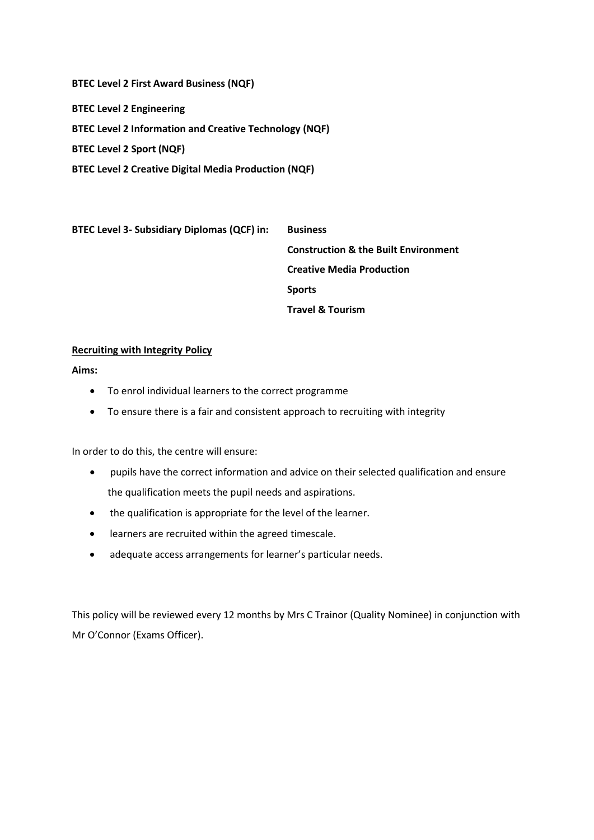**BTEC Level 2 First Award Business (NQF)**

**BTEC Level 2 Engineering**

**BTEC Level 2 Information and Creative Technology (NQF)**

**BTEC Level 2 Sport (NQF)**

**BTEC Level 2 Creative Digital Media Production (NQF)**

**BTEC Level 3- Subsidiary Diplomas (QCF) in: Business Construction & the Built Environment Creative Media Production Sports Travel & Tourism**

#### **Recruiting with Integrity Policy**

**Aims:** 

- To enrol individual learners to the correct programme
- To ensure there is a fair and consistent approach to recruiting with integrity

In order to do this, the centre will ensure:

- pupils have the correct information and advice on their selected qualification and ensure the qualification meets the pupil needs and aspirations.
- the qualification is appropriate for the level of the learner.
- learners are recruited within the agreed timescale.
- adequate access arrangements for learner's particular needs.

This policy will be reviewed every 12 months by Mrs C Trainor (Quality Nominee) in conjunction with Mr O'Connor (Exams Officer).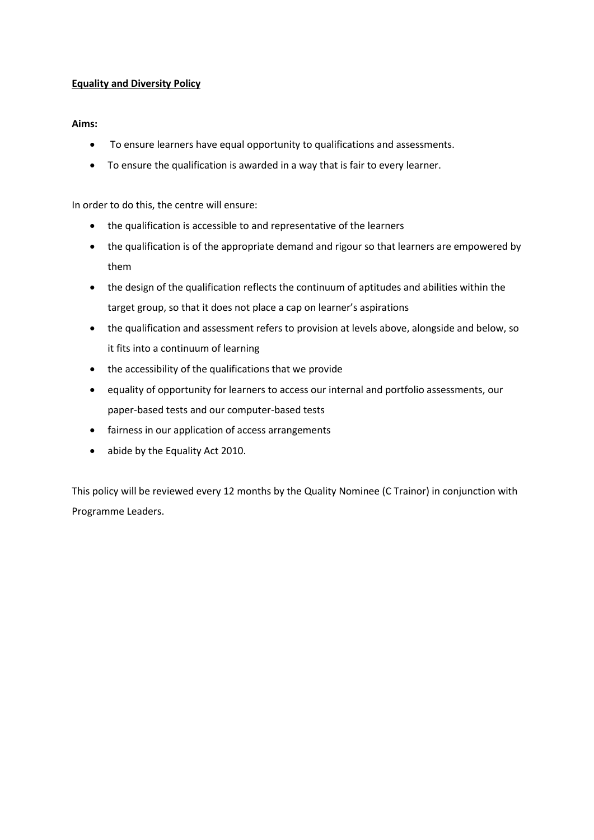#### **Equality and Diversity Policy**

#### **Aims:**

- To ensure learners have equal opportunity to qualifications and assessments.
- To ensure the qualification is awarded in a way that is fair to every learner.

In order to do this, the centre will ensure:

- the qualification is accessible to and representative of the learners
- the qualification is of the appropriate demand and rigour so that learners are empowered by them
- the design of the qualification reflects the continuum of aptitudes and abilities within the target group, so that it does not place a cap on learner's aspirations
- the qualification and assessment refers to provision at levels above, alongside and below, so it fits into a continuum of learning
- the accessibility of the qualifications that we provide
- equality of opportunity for learners to access our internal and portfolio assessments, our paper-based tests and our computer-based tests
- fairness in our application of access arrangements
- abide by the Equality Act 2010.

This policy will be reviewed every 12 months by the Quality Nominee (C Trainor) in conjunction with Programme Leaders.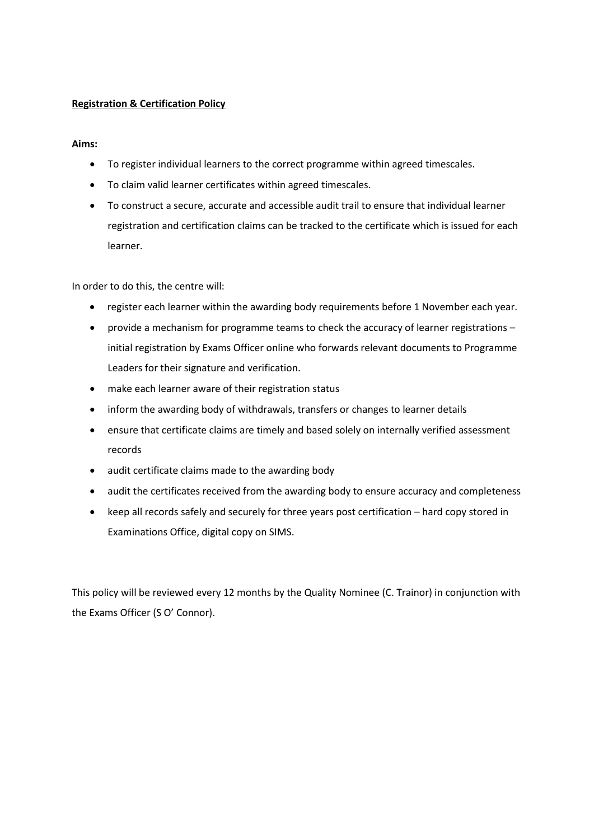#### **Registration & Certification Policy**

#### **Aims:**

- To register individual learners to the correct programme within agreed timescales.
- To claim valid learner certificates within agreed timescales.
- To construct a secure, accurate and accessible audit trail to ensure that individual learner registration and certification claims can be tracked to the certificate which is issued for each learner.

In order to do this, the centre will:

- register each learner within the awarding body requirements before 1 November each year.
- provide a mechanism for programme teams to check the accuracy of learner registrations initial registration by Exams Officer online who forwards relevant documents to Programme Leaders for their signature and verification.
- make each learner aware of their registration status
- inform the awarding body of withdrawals, transfers or changes to learner details
- ensure that certificate claims are timely and based solely on internally verified assessment records
- audit certificate claims made to the awarding body
- audit the certificates received from the awarding body to ensure accuracy and completeness
- keep all records safely and securely for three years post certification hard copy stored in Examinations Office, digital copy on SIMS.

This policy will be reviewed every 12 months by the Quality Nominee (C. Trainor) in conjunction with the Exams Officer (S O' Connor).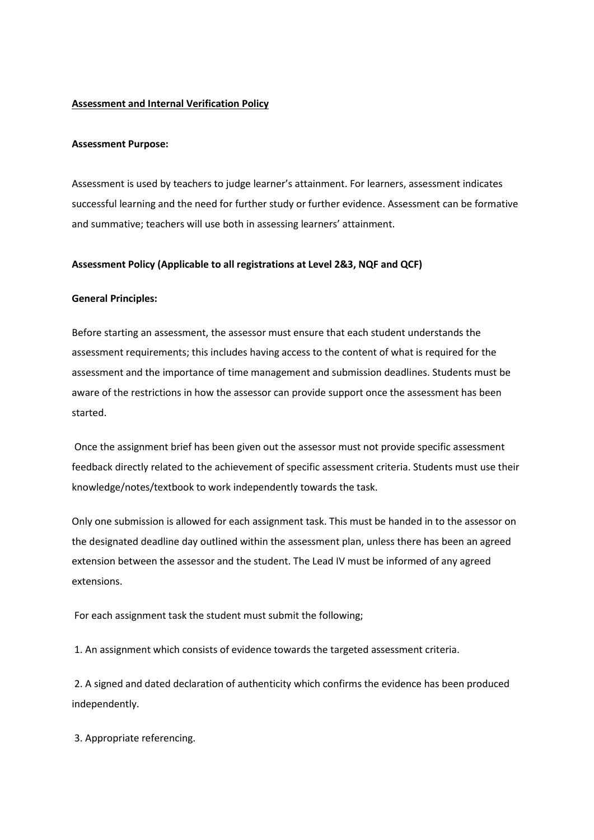#### **Assessment and Internal Verification Policy**

#### **Assessment Purpose:**

Assessment is used by teachers to judge learner's attainment. For learners, assessment indicates successful learning and the need for further study or further evidence. Assessment can be formative and summative; teachers will use both in assessing learners' attainment.

#### **Assessment Policy (Applicable to all registrations at Level 2&3, NQF and QCF)**

#### **General Principles:**

Before starting an assessment, the assessor must ensure that each student understands the assessment requirements; this includes having access to the content of what is required for the assessment and the importance of time management and submission deadlines. Students must be aware of the restrictions in how the assessor can provide support once the assessment has been started.

Once the assignment brief has been given out the assessor must not provide specific assessment feedback directly related to the achievement of specific assessment criteria. Students must use their knowledge/notes/textbook to work independently towards the task.

Only one submission is allowed for each assignment task. This must be handed in to the assessor on the designated deadline day outlined within the assessment plan, unless there has been an agreed extension between the assessor and the student. The Lead IV must be informed of any agreed extensions.

For each assignment task the student must submit the following;

1. An assignment which consists of evidence towards the targeted assessment criteria.

2. A signed and dated declaration of authenticity which confirms the evidence has been produced independently.

3. Appropriate referencing.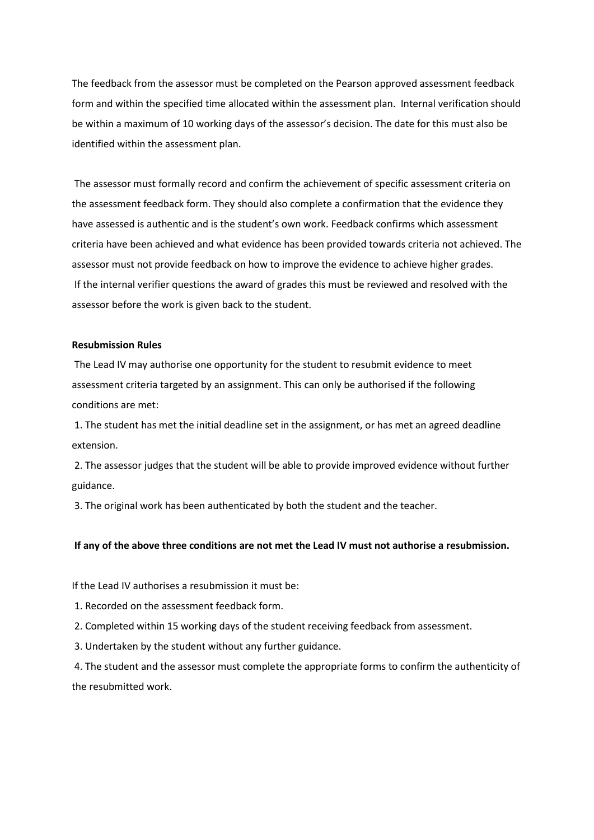The feedback from the assessor must be completed on the Pearson approved assessment feedback form and within the specified time allocated within the assessment plan. Internal verification should be within a maximum of 10 working days of the assessor's decision. The date for this must also be identified within the assessment plan.

The assessor must formally record and confirm the achievement of specific assessment criteria on the assessment feedback form. They should also complete a confirmation that the evidence they have assessed is authentic and is the student's own work. Feedback confirms which assessment criteria have been achieved and what evidence has been provided towards criteria not achieved. The assessor must not provide feedback on how to improve the evidence to achieve higher grades. If the internal verifier questions the award of grades this must be reviewed and resolved with the assessor before the work is given back to the student.

#### **Resubmission Rules**

The Lead IV may authorise one opportunity for the student to resubmit evidence to meet assessment criteria targeted by an assignment. This can only be authorised if the following conditions are met:

1. The student has met the initial deadline set in the assignment, or has met an agreed deadline extension.

2. The assessor judges that the student will be able to provide improved evidence without further guidance.

3. The original work has been authenticated by both the student and the teacher.

#### **If any of the above three conditions are not met the Lead IV must not authorise a resubmission.**

If the Lead IV authorises a resubmission it must be:

1. Recorded on the assessment feedback form.

2. Completed within 15 working days of the student receiving feedback from assessment.

3. Undertaken by the student without any further guidance.

4. The student and the assessor must complete the appropriate forms to confirm the authenticity of the resubmitted work.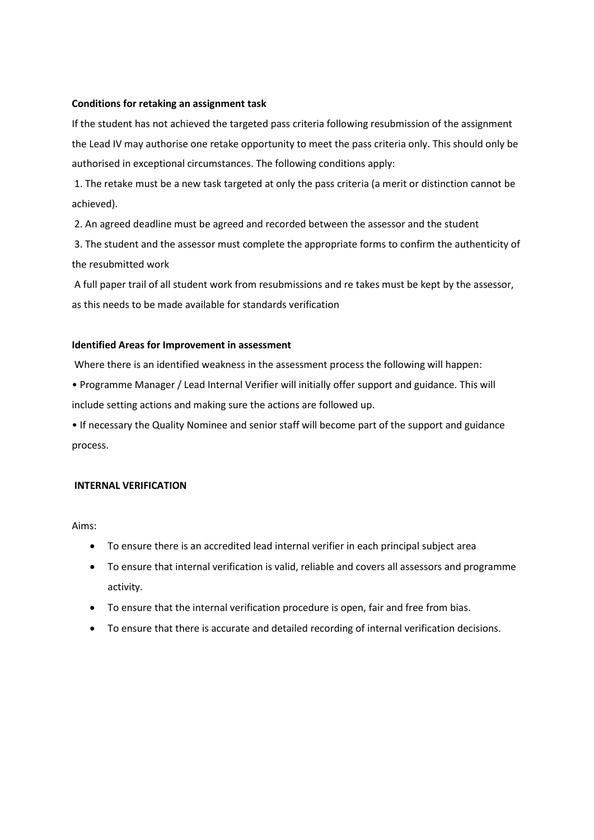#### **Conditions for retaking an assignment task**

If the student has not achieved the targeted pass criteria following resubmission of the assignment the Lead IV may authorise one retake opportunity to meet the pass criteria only. This should only be authorised in exceptional circumstances. The following conditions apply:

1. The retake must be a new task targeted at only the pass criteria (a merit or distinction cannot be achieved).

2. An agreed deadline must be agreed and recorded between the assessor and the student

3. The student and the assessor must complete the appropriate forms to confirm the authenticity of the resubmitted work

A full paper trail of all student work from resubmissions and re takes must be kept by the assessor, as this needs to be made available for standards verification

#### **Identified Areas for Improvement in assessment**

Where there is an identified weakness in the assessment process the following will happen:

• Programme Manager / Lead Internal Verifier will initially offer support and guidance. This will include setting actions and making sure the actions are followed up.

• If necessary the Quality Nominee and senior staff will become part of the support and guidance process.

#### **INTERNAL VERIFICATION**

Aims:

- To ensure there is an accredited lead internal verifier in each principal subject area
- To ensure that internal verification is valid, reliable and covers all assessors and programme activity.
- To ensure that the internal verification procedure is open, fair and free from bias.
- To ensure that there is accurate and detailed recording of internal verification decisions.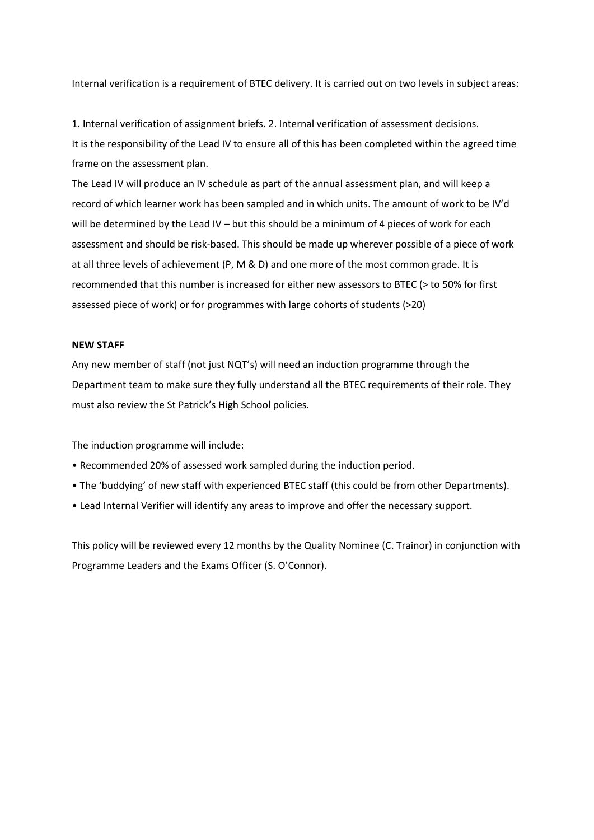Internal verification is a requirement of BTEC delivery. It is carried out on two levels in subject areas:

1. Internal verification of assignment briefs. 2. Internal verification of assessment decisions. It is the responsibility of the Lead IV to ensure all of this has been completed within the agreed time frame on the assessment plan.

The Lead IV will produce an IV schedule as part of the annual assessment plan, and will keep a record of which learner work has been sampled and in which units. The amount of work to be IV'd will be determined by the Lead IV – but this should be a minimum of 4 pieces of work for each assessment and should be risk-based. This should be made up wherever possible of a piece of work at all three levels of achievement (P, M & D) and one more of the most common grade. It is recommended that this number is increased for either new assessors to BTEC (> to 50% for first assessed piece of work) or for programmes with large cohorts of students (>20)

#### **NEW STAFF**

Any new member of staff (not just NQT's) will need an induction programme through the Department team to make sure they fully understand all the BTEC requirements of their role. They must also review the St Patrick's High School policies.

The induction programme will include:

- Recommended 20% of assessed work sampled during the induction period.
- The 'buddying' of new staff with experienced BTEC staff (this could be from other Departments).
- Lead Internal Verifier will identify any areas to improve and offer the necessary support.

This policy will be reviewed every 12 months by the Quality Nominee (C. Trainor) in conjunction with Programme Leaders and the Exams Officer (S. O'Connor).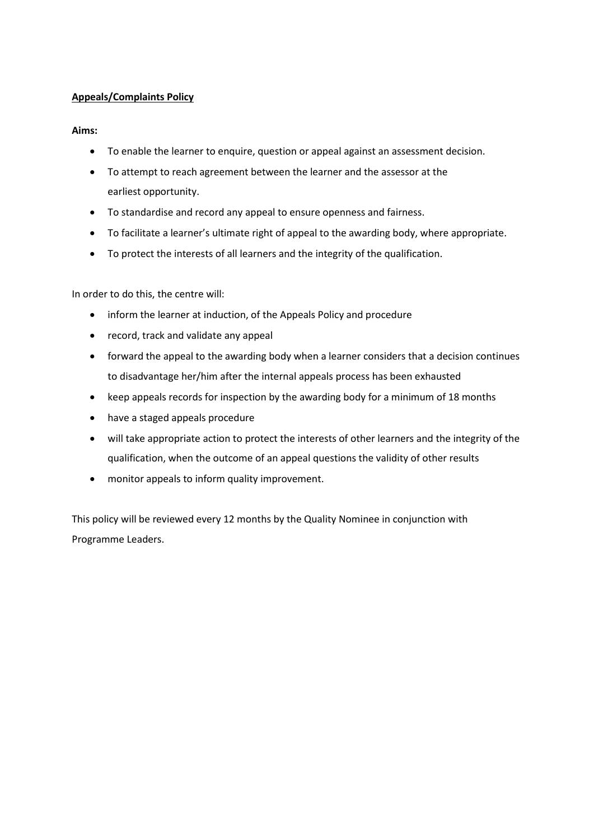#### **Appeals/Complaints Policy**

#### **Aims:**

- To enable the learner to enquire, question or appeal against an assessment decision.
- To attempt to reach agreement between the learner and the assessor at the earliest opportunity.
- To standardise and record any appeal to ensure openness and fairness.
- To facilitate a learner's ultimate right of appeal to the awarding body, where appropriate.
- To protect the interests of all learners and the integrity of the qualification.

In order to do this, the centre will:

- inform the learner at induction, of the Appeals Policy and procedure
- record, track and validate any appeal
- forward the appeal to the awarding body when a learner considers that a decision continues to disadvantage her/him after the internal appeals process has been exhausted
- keep appeals records for inspection by the awarding body for a minimum of 18 months
- have a staged appeals procedure
- will take appropriate action to protect the interests of other learners and the integrity of the qualification, when the outcome of an appeal questions the validity of other results
- monitor appeals to inform quality improvement.

This policy will be reviewed every 12 months by the Quality Nominee in conjunction with Programme Leaders.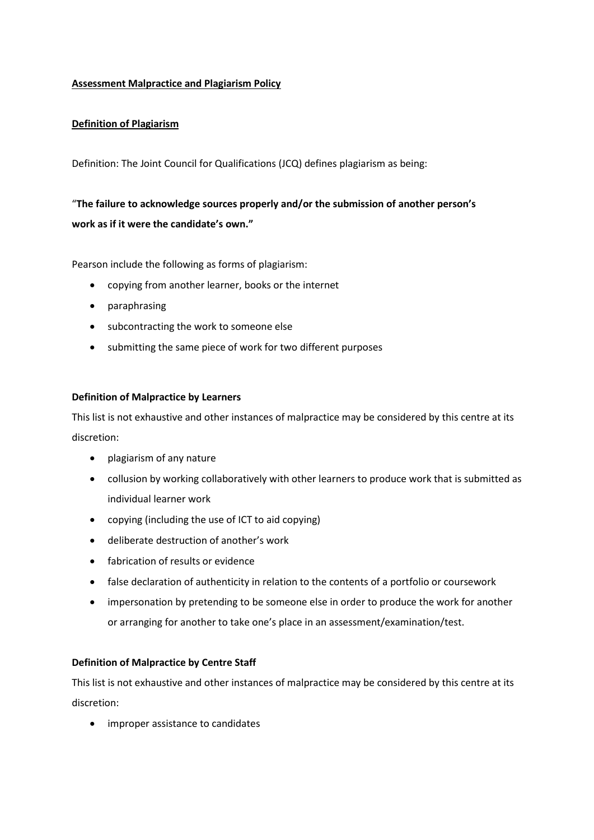#### **Assessment Malpractice and Plagiarism Policy**

#### **Definition of Plagiarism**

Definition: The Joint Council for Qualifications (JCQ) defines plagiarism as being:

### "**The failure to acknowledge sources properly and/or the submission of another person's work as if it were the candidate's own."**

Pearson include the following as forms of plagiarism:

- copying from another learner, books or the internet
- paraphrasing
- subcontracting the work to someone else
- submitting the same piece of work for two different purposes

#### **Definition of Malpractice by Learners**

This list is not exhaustive and other instances of malpractice may be considered by this centre at its discretion:

- plagiarism of any nature
- collusion by working collaboratively with other learners to produce work that is submitted as individual learner work
- copying (including the use of ICT to aid copying)
- deliberate destruction of another's work
- fabrication of results or evidence
- false declaration of authenticity in relation to the contents of a portfolio or coursework
- impersonation by pretending to be someone else in order to produce the work for another or arranging for another to take one's place in an assessment/examination/test.

#### **Definition of Malpractice by Centre Staff**

This list is not exhaustive and other instances of malpractice may be considered by this centre at its discretion:

• improper assistance to candidates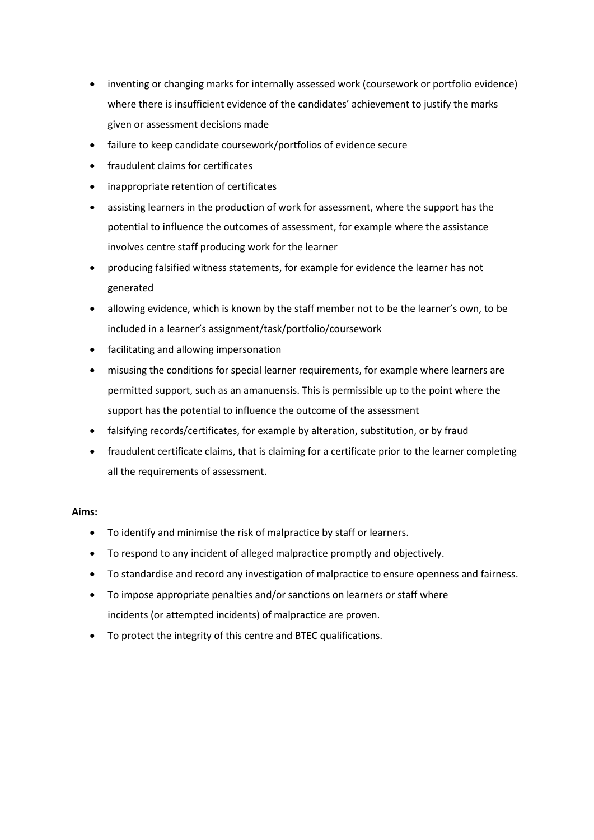- inventing or changing marks for internally assessed work (coursework or portfolio evidence) where there is insufficient evidence of the candidates' achievement to justify the marks given or assessment decisions made
- failure to keep candidate coursework/portfolios of evidence secure
- fraudulent claims for certificates
- inappropriate retention of certificates
- assisting learners in the production of work for assessment, where the support has the potential to influence the outcomes of assessment, for example where the assistance involves centre staff producing work for the learner
- producing falsified witness statements, for example for evidence the learner has not generated
- allowing evidence, which is known by the staff member not to be the learner's own, to be included in a learner's assignment/task/portfolio/coursework
- facilitating and allowing impersonation
- misusing the conditions for special learner requirements, for example where learners are permitted support, such as an amanuensis. This is permissible up to the point where the support has the potential to influence the outcome of the assessment
- falsifying records/certificates, for example by alteration, substitution, or by fraud
- fraudulent certificate claims, that is claiming for a certificate prior to the learner completing all the requirements of assessment.

#### **Aims:**

- To identify and minimise the risk of malpractice by staff or learners.
- To respond to any incident of alleged malpractice promptly and objectively.
- To standardise and record any investigation of malpractice to ensure openness and fairness.
- To impose appropriate penalties and/or sanctions on learners or staff where incidents (or attempted incidents) of malpractice are proven.
- To protect the integrity of this centre and BTEC qualifications.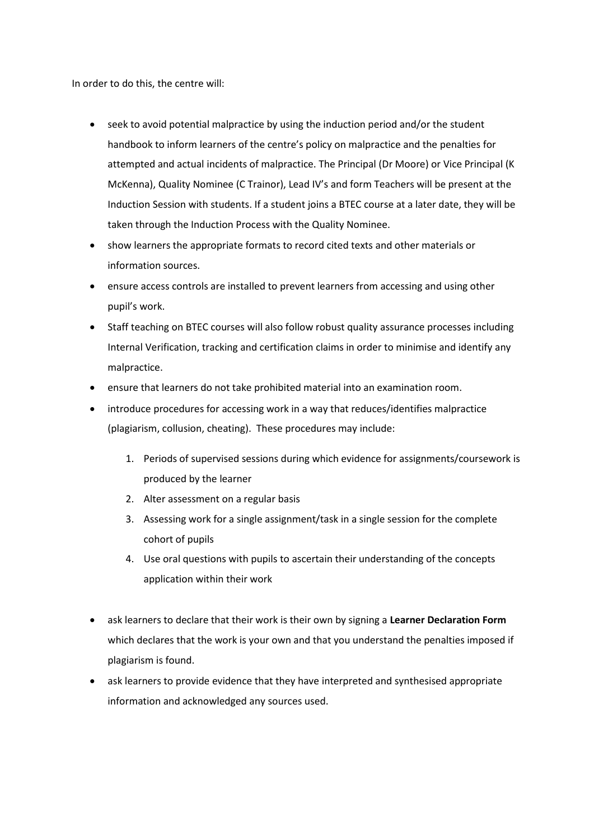In order to do this, the centre will:

- seek to avoid potential malpractice by using the induction period and/or the student handbook to inform learners of the centre's policy on malpractice and the penalties for attempted and actual incidents of malpractice. The Principal (Dr Moore) or Vice Principal (K McKenna), Quality Nominee (C Trainor), Lead IV's and form Teachers will be present at the Induction Session with students. If a student joins a BTEC course at a later date, they will be taken through the Induction Process with the Quality Nominee.
- show learners the appropriate formats to record cited texts and other materials or information sources.
- ensure access controls are installed to prevent learners from accessing and using other pupil's work.
- Staff teaching on BTEC courses will also follow robust quality assurance processes including Internal Verification, tracking and certification claims in order to minimise and identify any malpractice.
- ensure that learners do not take prohibited material into an examination room.
- introduce procedures for accessing work in a way that reduces/identifies malpractice (plagiarism, collusion, cheating). These procedures may include:
	- 1. Periods of supervised sessions during which evidence for assignments/coursework is produced by the learner
	- 2. Alter assessment on a regular basis
	- 3. Assessing work for a single assignment/task in a single session for the complete cohort of pupils
	- 4. Use oral questions with pupils to ascertain their understanding of the concepts application within their work
- ask learners to declare that their work is their own by signing a **Learner Declaration Form** which declares that the work is your own and that you understand the penalties imposed if plagiarism is found.
- ask learners to provide evidence that they have interpreted and synthesised appropriate information and acknowledged any sources used.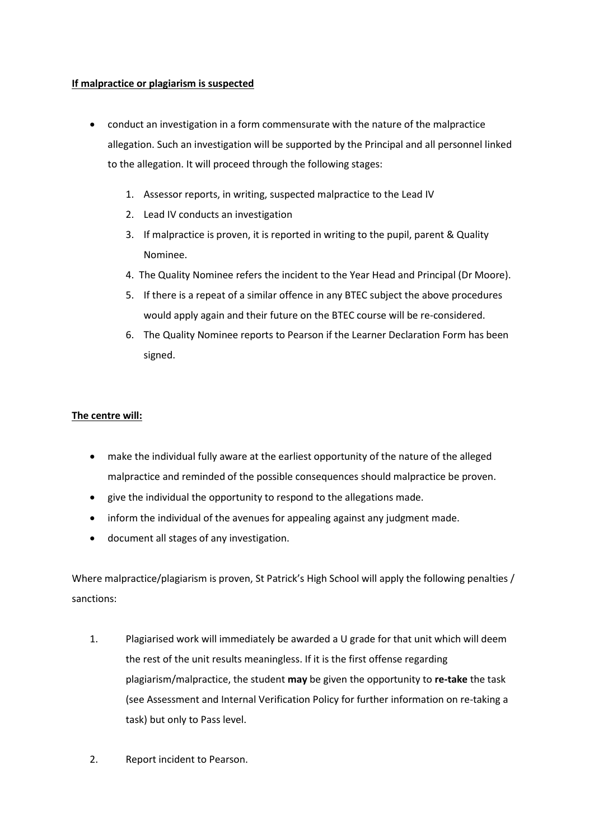#### **If malpractice or plagiarism is suspected**

- conduct an investigation in a form commensurate with the nature of the malpractice allegation. Such an investigation will be supported by the Principal and all personnel linked to the allegation. It will proceed through the following stages:
	- 1. Assessor reports, in writing, suspected malpractice to the Lead IV
	- 2. Lead IV conducts an investigation
	- 3. If malpractice is proven, it is reported in writing to the pupil, parent & Quality Nominee.
	- 4. The Quality Nominee refers the incident to the Year Head and Principal (Dr Moore).
	- 5. If there is a repeat of a similar offence in any BTEC subject the above procedures would apply again and their future on the BTEC course will be re-considered.
	- 6. The Quality Nominee reports to Pearson if the Learner Declaration Form has been signed.

#### **The centre will:**

- make the individual fully aware at the earliest opportunity of the nature of the alleged malpractice and reminded of the possible consequences should malpractice be proven.
- give the individual the opportunity to respond to the allegations made.
- inform the individual of the avenues for appealing against any judgment made.
- document all stages of any investigation.

Where malpractice/plagiarism is proven, St Patrick's High School will apply the following penalties / sanctions:

- 1. Plagiarised work will immediately be awarded a U grade for that unit which will deem the rest of the unit results meaningless. If it is the first offense regarding plagiarism/malpractice, the student **may** be given the opportunity to **re-take** the task (see Assessment and Internal Verification Policy for further information on re-taking a task) but only to Pass level.
- 2. Report incident to Pearson.